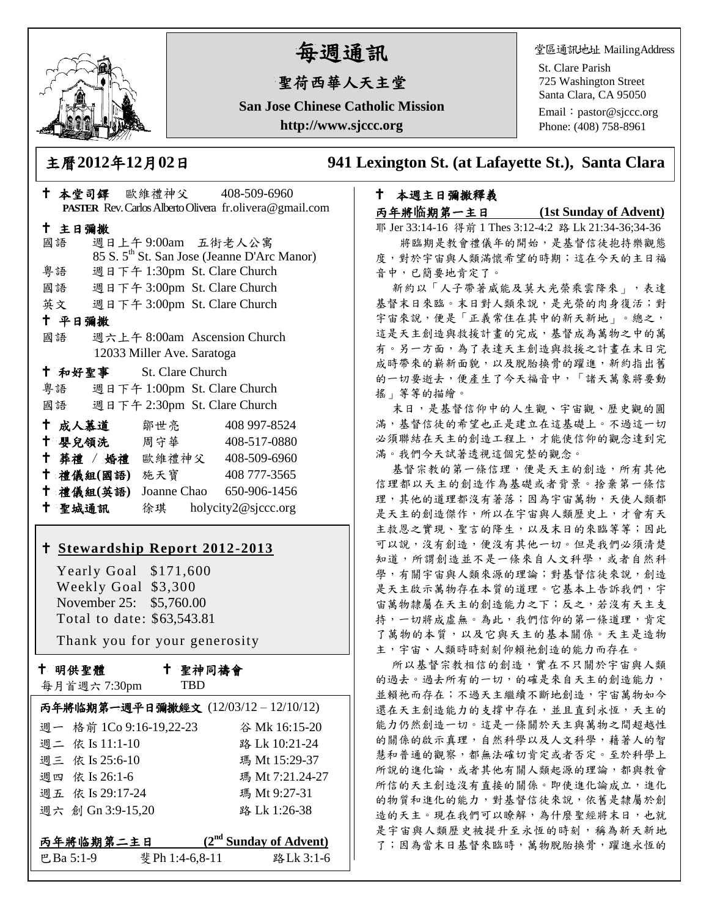

# 每週通訊

# 聖荷西華人天主堂

**San Jose Chinese Catholic Mission http://www.sjccc.org**

堂區通訊地址 MailingAddress

St. Clare Parish 725 Washington Street Santa Clara, CA 95050

Email: [pastor@sjccc.org](mailto:pastor@sjccc.org) Phone: (408) 758-8961

主曆**2012**年**12**月**02**日 **941 Lexington St. (at Lafayette St.), Santa Clara** 

# 本堂司鐸 歐維禮神父 408-509-6960 **PASTER** Rev. Carlos Alberto Olivera fr.olivera@gmail.com 主日彌撒 國語 週日上午 9:00am 五街老人公寓 85 S. 5th St. San Jose (Jeanne D'Arc Manor) 粵語 週日下午 1:30pm St. Clare Church 國語 週日下午 3:00pm St. Clare Church 英文 週日下午 3:00pm St. Clare Church 平日彌撒 國語 週六上午 8:00am Ascension Church 12033 Miller Ave. Saratoga 和好聖事 St. Clare Church 粵語 週日下午 1:00pm St. Clare Church 國語 週日下午 2:30pm St. Clare Church 十成人慕道 鄒世亮 408 997-8524 十 嬰兒領洗 周守華 408-517-0880 葬禮 / 婚禮 歐維禮神父 408-509-6960 禮儀組**(**國語**)** 施天寶 408 777-3565 禮儀組**(**英語**)** Joanne Chao 650-906-1456 聖城通訊 徐琪 holycity2@sjccc.org

## **[Stewardship Report 2012-2013](http://sjccc.org/index.php/finance.html?src=bulletin112512)**

 Yearly Goal \$171,600 Weekly Goal \$3,300 November 25: \$5,760.00 Total to date: \$63,543.81

Thank you for your generosity

十 明供聖體

聖神同禱會

| 每月首週六 7:30pm | <b>TRD</b> |
|--------------|------------|
|              |            |

|                         |                 | 丙年將临期第一週平日彌撒經文 (12/03/12-12/10/12) |
|-------------------------|-----------------|------------------------------------|
| 週一 格前 1Co 9:16-19,22-23 |                 | 谷 Mk 16:15-20                      |
| 週二 依 Is 11:1-10         |                 | 路 Lk 10:21-24                      |
| 週三 依 Is 25:6-10         |                 | 瑪 Mt 15:29-37                      |
| 週四 依 Is 26:1-6          |                 | 瑪 Mt 7:21.24-27                    |
| 週五 依 Is 29:17-24        |                 | 瑪 Mt 9:27-31                       |
| 週六 創 Gn 3:9-15,20       |                 | 路 Lk 1:26-38                       |
| 丙年將临期第二主日               |                 | $(2nd$ Sunday of Advent)           |
| 巴Ba 5:1-9               | 斐 Ph 1:4-6,8-11 | 路Lk 3:1-6                          |

# 本週主日彌撒釋義

## 丙年將临期第一主日 **(1st Sunday of Advent)**

耶 Jer 33:14-16 得前 1 Thes 3:12-4:2 路 Lk 21:34-36;34-36 將臨期是教會禮儀年的開始,是基督信徒抱持樂觀態

度,對於宇宙與人類滿懷希望的時期;這在今天的主日福 音中,已簡要地肯定了。

新約以「人子帶著威能及莫大光榮乘雲降來」,表達 基督末日來臨。末日對人類來說,是光榮的肉身復活;對 宇宙來說,便是「正義常住在其中的新天新地」。總之, 這是天主創造與救援計畫的完成,基督成為萬物之中的萬 有。另一方面,為了表達天主創造與救援之計畫在末日完 成時帶來的嶄新面貌,以及脫胎換骨的躍進,新約指出舊 的一切要逝去,便產生了今天福音中,「諸天萬象將要動 搖」等等的描繪。

末日,是基督信仰中的人生觀、宇宙觀、歷史觀的圓 滿,基督信徒的希望也正是建立在這基礎上。不過這一切 必須聯結在天主的創造工程上,才能使信仰的觀念達到完 滿。我們今天試著透視這個完整的觀念。

基督宗教的第一條信理,便是天主的創造,所有其他 信理都以天主的創造作為基礎或者背景。捨棄第一條信 理,其他的道理都沒有著落;因為宇宙萬物,天使人類都 是天主的創造傑作,所以在宇宙與人類歷史上,才會有天 主救恩之實現、聖言的降生,以及末日的來臨等等;因此 可以說,沒有創造,便沒有其他一切。但是我們必須清楚 知道,所謂創造並不是一條來自人文科學,或者自然科 學,有關宇宙與人類來源的理論;對基督信徒來說,創造 是天主啟示萬物存在本質的道理。它基本上告訴我們,宇 宙萬物隸屬在天主的創造能力之下;反之,若沒有天主支 持,一切將成虛無。為此,我們信仰的第一條道理,肯定 了萬物的本質,以及它與天主的基本關係。天主是造物 主,宇宙、人類時時刻刻仰賴祂創造的能力而存在。

所以基督宗教相信的創造,實在不只關於宇宙與人類 的過去。過去所有的一切,的確是來自天主的創造能力, 並賴祂而存在;不過天主繼續不斷地創造,宇宙萬物如今 還在天主創造能力的支撐中存在,並且直到永恆,天主的 能力仍然創造一切。這是一條關於天主與萬物之間超越性 的關係的啟示真理,自然科學以及人文科學,藉著人的智 慧和普通的觀察,都無法確切肯定或者否定。至於科學上 所說的進化論,或者其他有關人類起源的理論,都與教會 所信的天主創造沒有直接的關係。即使進化論成立,進化 的物質和進化的能力,對基督信徒來說,依舊是隸屬於創 造的天主。現在我們可以瞭解,為什麼聖經將末日,也就 是宇宙與人類歷史被提升至永恆的時刻,稱為新天新地 了;因為當末日基督來臨時,萬物脫胎換骨,躍進永恆的